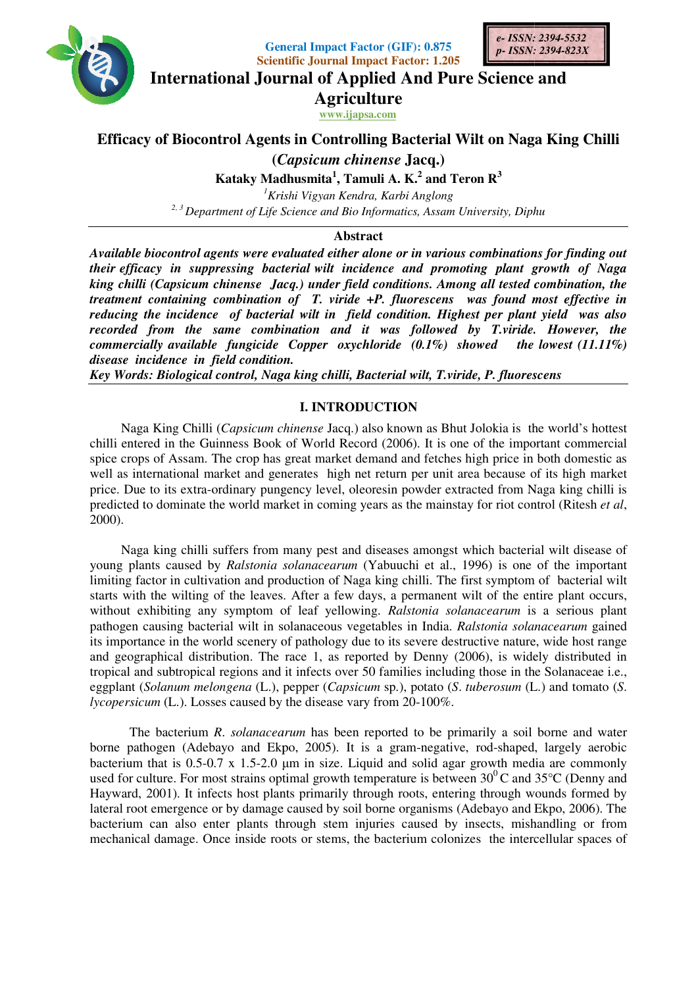

**General Impact Factor General Factor (GIF): 0.875 Scientific Journal Impact Factor: 1.205**



**International Journal of Applied And Pure Science and**

**Agriculture**

**www.ijapsa.com** 

# **Efficacy of Biocontrol Agents in Controlling Bacterial Wilt on Naga King Chilli**<br>(*Capsicum chinense* Jacq.)

**(***Capsicum chinense*

**Kataky Madhusmita 1 , Tamuli A. K.<sup>2</sup> and Teron R<sup>3</sup>**

*<sup>1</sup>Krishi Vigyan Kendra, Karbi Anglong*  <sup>2, 3</sup> Department of Life Science and Bio Informatics, Assam University, Diphu

# **Abstract**

*Available biocontrol agents were evaluated either alone or in various combinations for finding out their efficacy in suppressing bacterial wilt incidence and promoting plant growth of Naga*  Available biocontrol agents were evaluated either alone or in various combinations for finding out<br>their efficacy in suppressing bacterial wilt incidence and promoting plant growth of Naga<br>king chilli (Capsicum c *treatment containing combination of T. viride +P. fluorescens was found most effective in reducing the incidence of bacterial wilt in field condition. Highest per plant yield was also*  recorded from the same combination and it was followed by T.viride. However, the *commercially available fungicide Copper oxychloride (0.1%) showed the lowest (11.11%) disease incidence in field condition. containing combination of T. viride +P. fluorescens was found most*<br>*he incidence of bacterial wilt in field condition. Highest per plant yiel*<br>*from the same combination and it was followed by T.viride. He*<br>*lly availabl biocontrol agents were evaluated either alone or in various com*<br>acy in suppressing bacterial wilt incidence and promoting<br>i (Capsicum chinense Jacq.) under field conditions. Among al<br>containing combination of T. viride +

*Key Words: Biological control, Naga king chilli, Bac*

# **I. INTRODUCTION**

Naga King Chilli (Capsicum chinense Jacq.) also known as Bhut Jolokia is the world's hottest chilli entered in the Guinness Book of World Record (2006). It is one of the important commercial spice crops of Assam. The crop has great market demand and fetches high price in both domestic as well as international market and generates high net return per unit area because of its high market price. Due to its extra-ordinary pungency level, oleoresin powder extracted from Naga king chilli is predicted to dominate the world market in coming years as the mainstay for riot control (Ritesh 2000).<br>
2000).<br>
Naga king chilli suffers from many pest and diseases amongst which bacterial wilt disea 2000). entered in the Guinness Book of World Record (2006). It is one of the important commercial crops of Assam. The crop has great market demand and fetches high price in both domestic as is international market and generates h Naga King Chilli (*Capsicum chinense* Jacq.) also known as Bhut Jolokia is the world's hottest entered in the Guinness Book of World Record (2006). It is one of the important commercial crops of Assam. The crop has great m

Naga king chilli suffers from many pest and diseases amongst which bacterial wilt disease of young plants caused by *Ralstonia solanacearum* (Yabuuchi et al., 1996) is one of the important limiting factor in cultivation and production of Naga king chilli. The first symptom of bacterial wilt starts with the wilting of the leaves. After a few days, a permanent wilt of the entire plant occurs, without exhibiting any symptom of leaf yellowing.  *Ralstonia solanacearum* is a serious plant pathogen causing bacterial wilt in solanaceous vegetables in India. Ralstonia solanacearum its importance in the world scenery of pathology due to its severe destructive nature, wide host range its importance in the world scenery of pathology due to its severe destructive nature, wide host range and geographical distribution. The race 1, as reported by Denny (2006), is widely distributed in its importance in the world scenery of pathology due to its severe destructive nature, wide host range<br>and geographical distribution. The race 1, as reported by Denny (2006), is widely distributed in<br>tropical and subtropic eggplant (Solanum melongena (L.), pepper (Capsicum sp.), potato (S. tuberosum (L.) and tomato (S. *lycopersicum* (L.). Losses caused by the disease vary from 20 20-100%. Consert Impact Pactor (CIF), 0.875<br> **Consert Impact Case (CIF)** 6.875<br> **Consert Assoc 2008/2014 and Solution Journal of Applied And Pure Science and<br>
Agriculture<br>
<b>Agriculture**<br> **Case Consert Assoc 2008/2014**<br> **Case Conser** chilli suffers from many pest and diseases amongst which bacterial wilt disease of used by *Ralstonia solanacearum* (Yabuuchi et al., 1996) is one of the important cultivation and production of Naga king chilli. The first

The bacterium *R*. *solanacearum* has been reported to be primarily a soil borne and water borne pathogen (Adebayo and Ekpo, 2005). It is a gram-negative, rod-shaped, largely aerobic bacterium that is 0.5-0.7 x 1.5-2.0 µm in size. Liquid and solid agar growth media are commonly borne pathogen (Adebayo and Ekpo, 2005). It is a gram-negative, rod-shaped, largely aerobic bacterium that is 0.5-0.7 x 1.5-2.0  $\mu$ m in size. Liquid and solid agar growth media are commonly used for culture. For most str Hayward, 2001). It infects host plants primarily through roots, entering through wounds formed by lateral root emergence or by damage caused by soil borne organisms (Adebayo and Ekpo, 2006). The lateral root emergence or by damage caused by soil borne organisms (Adebayo and Ekpo, 2006 bacterium can also enter plants through stem injuries caused by insects, mishandling or from bacterium can also enter plants through stem injuries caused by insects, mishandling or from mechanical damage. Once inside roots or stems, the bacterium colonizes the intercellular spaces of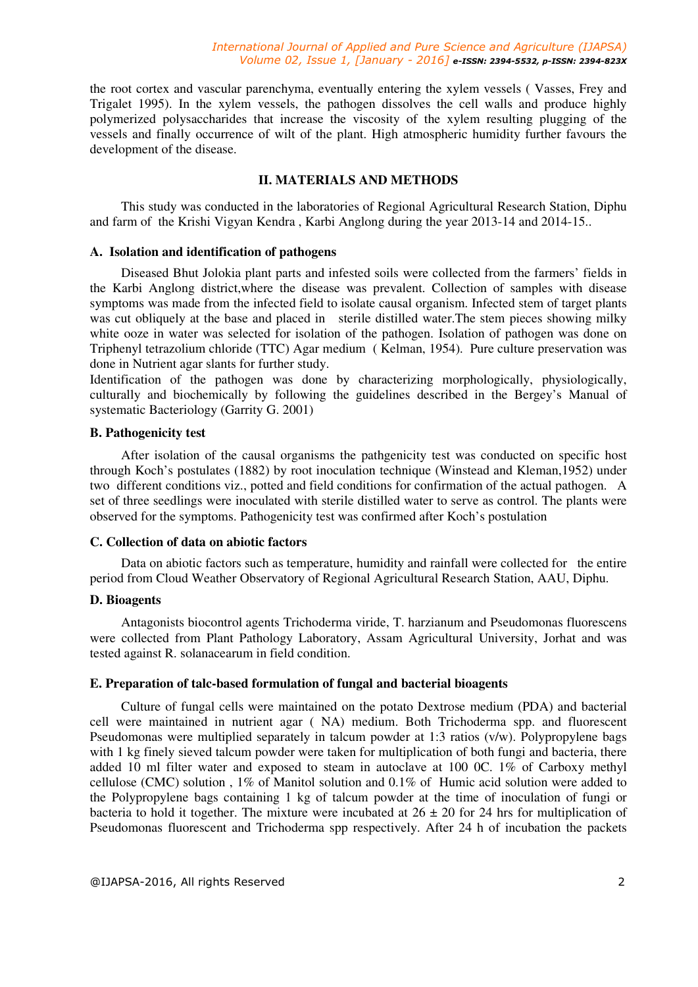the root cortex and vascular parenchyma, eventually entering the xylem vessels ( Vasses, Frey and Trigalet 1995). In the xylem vessels, the pathogen dissolves the cell walls and produce highly polymerized polysaccharides that increase the viscosity of the xylem resulting plugging of the vessels and finally occurrence of wilt of the plant. High atmospheric humidity further favours the development of the disease.

## **II. MATERIALS AND METHODS**

This study was conducted in the laboratories of Regional Agricultural Research Station, Diphu and farm of the Krishi Vigyan Kendra , Karbi Anglong during the year 2013-14 and 2014-15..

#### **A. Isolation and identification of pathogens**

Diseased Bhut Jolokia plant parts and infested soils were collected from the farmers' fields in the Karbi Anglong district,where the disease was prevalent. Collection of samples with disease symptoms was made from the infected field to isolate causal organism. Infected stem of target plants was cut obliquely at the base and placed in sterile distilled water. The stem pieces showing milky white ooze in water was selected for isolation of the pathogen. Isolation of pathogen was done on Triphenyl tetrazolium chloride (TTC) Agar medium ( Kelman, 1954). Pure culture preservation was done in Nutrient agar slants for further study.

Identification of the pathogen was done by characterizing morphologically, physiologically, culturally and biochemically by following the guidelines described in the Bergey's Manual of systematic Bacteriology (Garrity G. 2001)

#### **B. Pathogenicity test**

After isolation of the causal organisms the pathgenicity test was conducted on specific host through Koch's postulates (1882) by root inoculation technique (Winstead and Kleman,1952) under two different conditions viz., potted and field conditions for confirmation of the actual pathogen. A set of three seedlings were inoculated with sterile distilled water to serve as control. The plants were observed for the symptoms. Pathogenicity test was confirmed after Koch's postulation

#### **C. Collection of data on abiotic factors**

Data on abiotic factors such as temperature, humidity and rainfall were collected for the entire period from Cloud Weather Observatory of Regional Agricultural Research Station, AAU, Diphu.

#### **D. Bioagents**

Antagonists biocontrol agents Trichoderma viride, T. harzianum and Pseudomonas fluorescens were collected from Plant Pathology Laboratory, Assam Agricultural University, Jorhat and was tested against R. solanacearum in field condition.

#### **E. Preparation of talc-based formulation of fungal and bacterial bioagents**

Culture of fungal cells were maintained on the potato Dextrose medium (PDA) and bacterial cell were maintained in nutrient agar ( NA) medium. Both Trichoderma spp. and fluorescent Pseudomonas were multiplied separately in talcum powder at 1:3 ratios (v/w). Polypropylene bags with 1 kg finely sieved talcum powder were taken for multiplication of both fungi and bacteria, there added 10 ml filter water and exposed to steam in autoclave at 100 0C. 1% of Carboxy methyl cellulose (CMC) solution , 1% of Manitol solution and 0.1% of Humic acid solution were added to the Polypropylene bags containing 1 kg of talcum powder at the time of inoculation of fungi or bacteria to hold it together. The mixture were incubated at  $26 \pm 20$  for 24 hrs for multiplication of Pseudomonas fluorescent and Trichoderma spp respectively. After 24 h of incubation the packets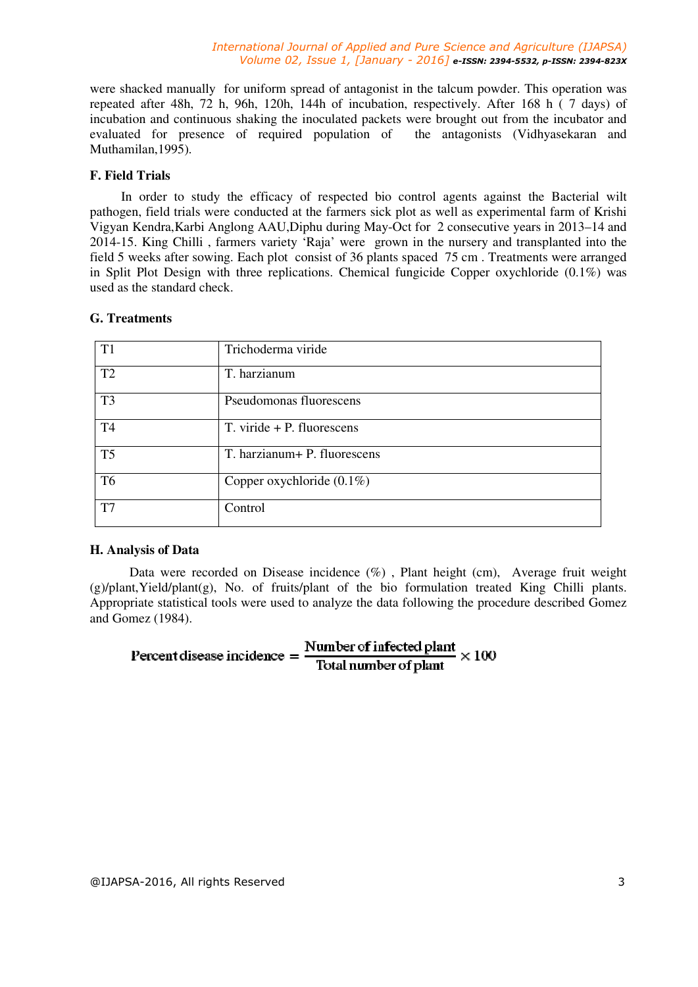#### *International Journal of Applied and Pure Science and Agriculture (IJAPSA) Volume 02, Issue 1, [January - 2016] e-ISSN: 2394-5532, p-ISSN: 2394-823X*

were shacked manually for uniform spread of antagonist in the talcum powder. This operation was repeated after 48h, 72 h, 96h, 120h, 144h of incubation, respectively. After 168 h ( 7 days) of incubation and continuous shaking the inoculated packets were brought out from the incubator and evaluated for presence of required population of the antagonists (Vidhyasekaran and Muthamilan,1995).

# **F. Field Trials**

In order to study the efficacy of respected bio control agents against the Bacterial wilt pathogen, field trials were conducted at the farmers sick plot as well as experimental farm of Krishi Vigyan Kendra,Karbi Anglong AAU,Diphu during May-Oct for 2 consecutive years in 2013–14 and 2014-15. King Chilli , farmers variety 'Raja' were grown in the nursery and transplanted into the field 5 weeks after sowing. Each plot consist of 36 plants spaced 75 cm . Treatments were arranged in Split Plot Design with three replications. Chemical fungicide Copper oxychloride  $(0.1\%)$  was used as the standard check.

# **G. Treatments**

| T1             | Trichoderma viride             |
|----------------|--------------------------------|
| T2             | T. harzianum                   |
| T <sub>3</sub> | Pseudomonas fluorescens        |
| T <sub>4</sub> | $T.$ viride $+ P.$ fluorescens |
| T <sub>5</sub> | T. harzianum+ P. fluorescens   |
| T <sub>6</sub> | Copper oxychloride $(0.1\%)$   |
| T <sub>7</sub> | Control                        |

## **H. Analysis of Data**

Data were recorded on Disease incidence (%) , Plant height (cm), Average fruit weight  $(g)/\text{plant}, Yield/\text{plant}(g)$ , No. of fruits/plant of the bio formulation treated King Chilli plants. Appropriate statistical tools were used to analyze the data following the procedure described Gomez and Gomez (1984).

# Percent disease incidence =  $\frac{\text{Number of infected plant}}{\text{Total number of plant}} \times 100$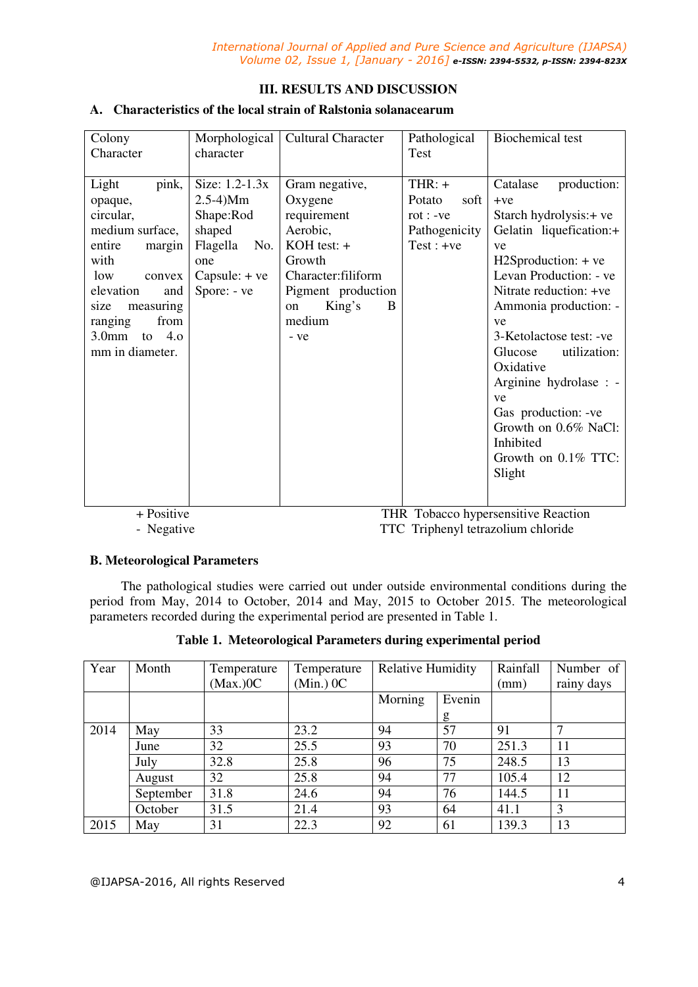# **III. RESULTS AND DISCUSSION**

# **A. Characteristics of the local strain of Ralstonia solanacearum**

| Colony<br>Character | Morphological<br>character | <b>Cultural Character</b> | Pathological<br>Test | <b>Biochemical test</b> |  |  |
|---------------------|----------------------------|---------------------------|----------------------|-------------------------|--|--|
|                     |                            |                           |                      |                         |  |  |
| pink,<br>Light      | Size: $1.2 - 1.3x$         | Gram negative,            | $THR: +$             | Catalase<br>production: |  |  |
| opaque,             | $2.5-4)Mm$                 | Oxygene                   | Potato<br>soft       | $+ve$                   |  |  |
| circular,           | Shape:Rod                  | requirement               | $rot : -ve$          | Starch hydrolysis: + ve |  |  |
| medium surface,     | shaped                     | Aerobic,                  | Pathogenicity        | Gelatin liquefication:+ |  |  |
| entire<br>margin    | Flagella<br>No.            | $KOH$ test: $+$           | $Test : +ve$         | ve                      |  |  |
| with                | one                        | Growth                    |                      | $H2Sproduction: + ve$   |  |  |
| low<br>convex       | Capsule: $+ve$             | Character:filiform        |                      | Levan Production: - ve  |  |  |
| elevation<br>and    | Spore: - ve                | Pigment production        |                      | Nitrate reduction: +ve  |  |  |
| measuring<br>size   |                            | King's<br>B<br>on         |                      | Ammonia production: -   |  |  |
| from<br>ranging     |                            | medium                    |                      | ve                      |  |  |
| 4.0<br>$3.0$ mm to  |                            | - ve                      |                      | 3-Ketolactose test: -ve |  |  |
| mm in diameter.     |                            |                           |                      | Glucose<br>utilization: |  |  |
|                     |                            |                           |                      | Oxidative               |  |  |
|                     |                            |                           |                      | Arginine hydrolase : -  |  |  |
|                     |                            |                           |                      | ve                      |  |  |
|                     |                            |                           |                      | Gas production: -ve     |  |  |
|                     |                            |                           |                      | Growth on 0.6% NaCl:    |  |  |
|                     |                            |                           |                      | Inhibited               |  |  |
|                     |                            |                           |                      | Growth on 0.1% TTC:     |  |  |
|                     |                            |                           |                      | Slight                  |  |  |
|                     |                            |                           |                      |                         |  |  |

 + Positive THR Tobacco hypersensitive Reaction - Negative TTC Triphenyl tetrazolium chloride

## **B. Meteorological Parameters**

The pathological studies were carried out under outside environmental conditions during the period from May, 2014 to October, 2014 and May, 2015 to October 2015. The meteorological parameters recorded during the experimental period are presented in Table 1.

| Year | Month     | Temperature<br>$(Max.)$ OC | Temperature<br>$(\text{Min.}) \space 0 \space \text{C}$ | <b>Relative Humidity</b> |        | Rainfall<br>(mm) | Number of<br>rainy days |
|------|-----------|----------------------------|---------------------------------------------------------|--------------------------|--------|------------------|-------------------------|
|      |           |                            |                                                         | Morning                  | Evenin |                  |                         |
|      |           |                            |                                                         |                          | g      |                  |                         |
| 2014 | May       | 33                         | 23.2                                                    | 94                       | 57     | 91               | ⇁                       |
|      | June      | 32                         | 25.5                                                    | 93                       | 70     | 251.3            | 11                      |
|      | July      | 32.8                       | 25.8                                                    | 96                       | 75     | 248.5            | 13                      |
|      | August    | 32                         | 25.8                                                    | 94                       | 77     | 105.4            | 12                      |
|      | September | 31.8                       | 24.6                                                    | 94                       | 76     | 144.5            | 11                      |
|      | October   | 31.5                       | 21.4                                                    | 93                       | 64     | 41.1             | 3                       |
| 2015 | May       | 31                         | 22.3                                                    | 92                       | 61     | 139.3            | 13                      |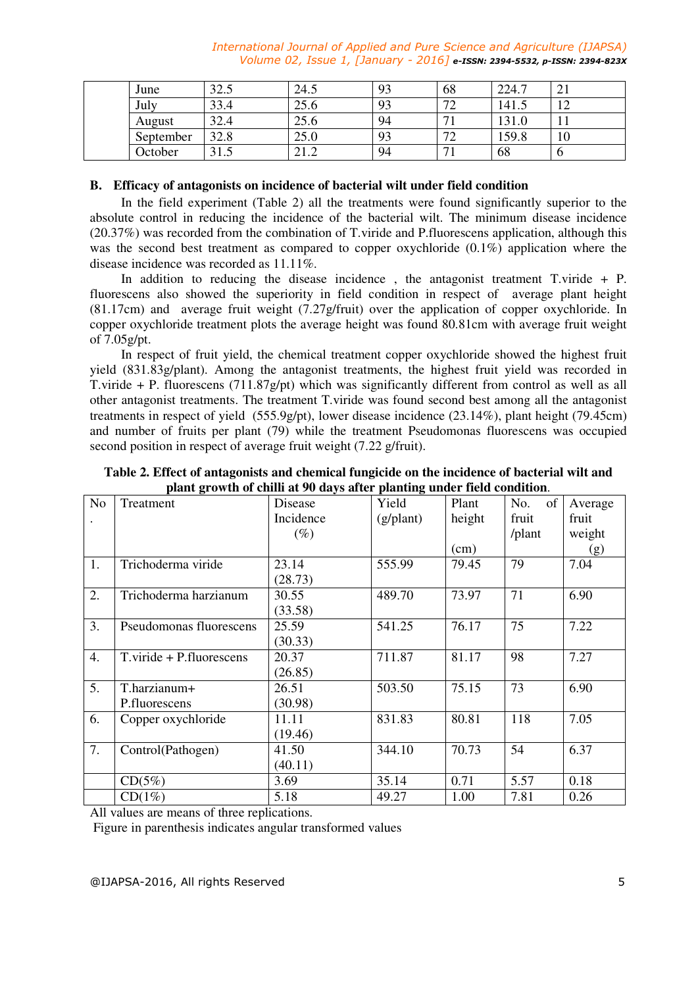*International Journal of Applied and Pure Science and Agriculture (IJAPSA) Volume 02, Issue 1, [January - 2016] e-ISSN: 2394-5532, p-ISSN: 2394-823X*

| June      | 32 <sub>1</sub><br>ل92.J | 24.5 | 93 | 68                            | 224.7 | 41             |
|-----------|--------------------------|------|----|-------------------------------|-------|----------------|
| July      | 33.4                     | 25.6 | Q٦ | $\mathbf{a}$<br>∸             | 141.5 | 1 <sub>0</sub> |
| August    | 32.4                     | 25.6 | 94 | $\overline{ }$                | 131.0 |                |
| September | 32.8                     | 25.0 | 93 | $\overline{\phantom{a}}$<br>∼ | 159.8 | 10             |
| October   | 21<br>ل د ل              | 41.4 | 94 | $\overline{\phantom{a}}$      | 68    | υ              |

## **B. Efficacy of antagonists on incidence of bacterial wilt under field condition**

In the field experiment (Table 2) all the treatments were found significantly superior to the absolute control in reducing the incidence of the bacterial wilt. The minimum disease incidence (20.37%) was recorded from the combination of T.viride and P.fluorescens application, although this was the second best treatment as compared to copper oxychloride  $(0.1\%)$  application where the disease incidence was recorded as 11.11%.

In addition to reducing the disease incidence , the antagonist treatment T.viride + P. fluorescens also showed the superiority in field condition in respect of average plant height (81.17cm) and average fruit weight (7.27g/fruit) over the application of copper oxychloride. In copper oxychloride treatment plots the average height was found 80.81cm with average fruit weight of 7.05g/pt.

In respect of fruit yield, the chemical treatment copper oxychloride showed the highest fruit yield (831.83g/plant). Among the antagonist treatments, the highest fruit yield was recorded in T.viride  $+$  P. fluorescens (711.87g/pt) which was significantly different from control as well as all other antagonist treatments. The treatment T.viride was found second best among all the antagonist treatments in respect of yield (555.9g/pt), lower disease incidence (23.14%), plant height (79.45cm) and number of fruits per plant (79) while the treatment Pseudomonas fluorescens was occupied second position in respect of average fruit weight (7.22 g/fruit).

| N <sub>0</sub>   | Treatment                | Disease   | Yield              | Plant  | of<br>No. | Average |
|------------------|--------------------------|-----------|--------------------|--------|-----------|---------|
|                  |                          | Incidence | $(g/\text{plant})$ | height | fruit     | fruit   |
|                  |                          | $(\%)$    |                    |        | /plant    | weight  |
|                  |                          |           |                    | (cm)   |           | (g)     |
| 1.               | Trichoderma viride       | 23.14     | 555.99             | 79.45  | 79        | 7.04    |
|                  |                          | (28.73)   |                    |        |           |         |
| 2.               | Trichoderma harzianum    | 30.55     | 489.70             | 73.97  | 71        | 6.90    |
|                  |                          | (33.58)   |                    |        |           |         |
| 3.               | Pseudomonas fluorescens  | 25.59     | 541.25             | 76.17  | 75        | 7.22    |
|                  |                          | (30.33)   |                    |        |           |         |
| $\overline{4}$ . | T.viride + P.fluorescens | 20.37     | 711.87             | 81.17  | 98        | 7.27    |
|                  |                          | (26.85)   |                    |        |           |         |
| 5.               | T.harzianum+             | 26.51     | 503.50             | 75.15  | 73        | 6.90    |
|                  | P.fluorescens            | (30.98)   |                    |        |           |         |
| 6.               | Copper oxychloride       | 11.11     | 831.83             | 80.81  | 118       | 7.05    |
|                  |                          | (19.46)   |                    |        |           |         |
| 7.               | Control(Pathogen)        | 41.50     | 344.10             | 70.73  | 54        | 6.37    |
|                  |                          | (40.11)   |                    |        |           |         |
|                  | $CD(5\%)$                | 3.69      | 35.14              | 0.71   | 5.57      | 0.18    |
|                  | $CD(1\%)$                | 5.18      | 49.27              | 1.00   | 7.81      | 0.26    |

**Table 2. Effect of antagonists and chemical fungicide on the incidence of bacterial wilt and plant growth of chilli at 90 days after planting under field condition**.

All values are means of three replications.

Figure in parenthesis indicates angular transformed values